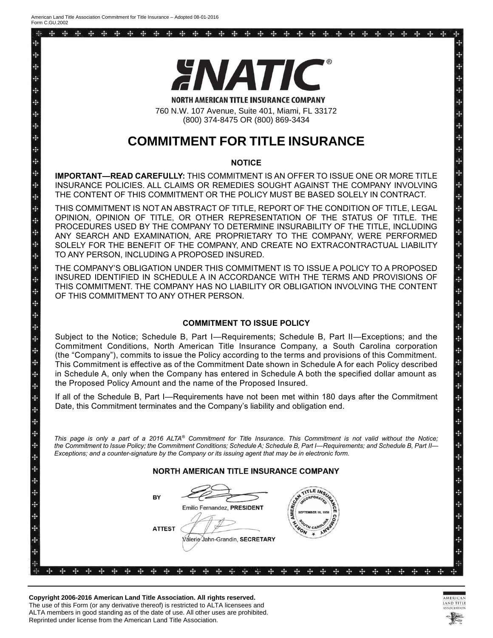44  $\frac{1}{2}$ 

÷

д Ą. d. 4

4 L.

4 ц. ÷ ÷ ÷ ÷ 4 4 ÷ ÷  $\frac{1}{2}$ ą. ą. 4 ÷ 4 ÷ ÷ 4 4 ÷ 4 ÷ ¥ ÷ ÷ 4 4 4

÷ ÷ 4 д à,



760 N.W. 107 Avenue, Suite 401, Miami, FL 33172 (800) 374-8475 OR (800) 869-3434

# **COMMITMENT FOR TITLE INSURANCE**

### **NOTICE**

**IMPORTANT—READ CAREFULLY:** THIS COMMITMENT IS AN OFFER TO ISSUE ONE OR MORE TITLE INSURANCE POLICIES. ALL CLAIMS OR REMEDIES SOUGHT AGAINST THE COMPANY INVOLVING THE CONTENT OF THIS COMMITMENT OR THE POLICY MUST BE BASED SOLELY IN CONTRACT.

THIS COMMITMENT IS NOT AN ABSTRACT OF TITLE, REPORT OF THE CONDITION OF TITLE, LEGAL OPINION, OPINION OF TITLE, OR OTHER REPRESENTATION OF THE STATUS OF TITLE. THE PROCEDURES USED BY THE COMPANY TO DETERMINE INSURABILITY OF THE TITLE, INCLUDING ANY SEARCH AND EXAMINATION, ARE PROPRIETARY TO THE COMPANY, WERE PERFORMED SOLELY FOR THE BENEFIT OF THE COMPANY, AND CREATE NO EXTRACONTRACTUAL LIABILITY TO ANY PERSON, INCLUDING A PROPOSED INSURED.

THE COMPANY'S OBLIGATION UNDER THIS COMMITMENT IS TO ISSUE A POLICY TO A PROPOSED INSURED IDENTIFIED IN SCHEDULE A IN ACCORDANCE WITH THE TERMS AND PROVISIONS OF THIS COMMITMENT. THE COMPANY HAS NO LIABILITY OR OBLIGATION INVOLVING THE CONTENT OF THIS COMMITMENT TO ANY OTHER PERSON.

## **COMMITMENT TO ISSUE POLICY**

Subject to the Notice; Schedule B, Part I—Requirements; Schedule B, Part II—Exceptions; and the Commitment Conditions, North American Title Insurance Company, a South Carolina corporation (the "Company"), commits to issue the Policy according to the terms and provisions of this Commitment. This Commitment is effective as of the Commitment Date shown in Schedule A for each Policy described in Schedule A, only when the Company has entered in Schedule A both the specified dollar amount as the Proposed Policy Amount and the name of the Proposed Insured.

If all of the Schedule B, Part I—Requirements have not been met within 180 days after the Commitment Date, this Commitment terminates and the Company's liability and obligation end.

*This page is only a part of a 2016 ALTA® Commitment for Title Insurance. This Commitment is not valid without the Notice; the Commitment to Issue Policy; the Commitment Conditions; Schedule A; Schedule B, Part I—Requirements; and Schedule B, Part II— Exceptions; and a counter-signature by the Company or its issuing agent that may be in electronic form.*

**NORTH AMERICAN TITLE INSURANCE COMPANY** 

| D۴<br>$\frac{1}{2}$<br>$\div$<br>÷ |    |   |   |  |  | BY |               |  |  |  | Emilio Fernandez, PRESIDENT     |  | CAN<br>MER  | <b>ACOP</b><br><b>SEPTEMBER 18, 1958</b> | $M_{\rm c}$ |  |  |  |     |   | œ         |
|------------------------------------|----|---|---|--|--|----|---------------|--|--|--|---------------------------------|--|-------------|------------------------------------------|-------------|--|--|--|-----|---|-----------|
| $\div$<br>$\div$<br>$\div$         |    |   |   |  |  |    | <b>ATTEST</b> |  |  |  | Válerie Jahn-Grandin, SECRETARY |  | <b>YNON</b> | TH CARO                                  |             |  |  |  |     |   |           |
| 半<br>-l-                           | 30 | œ | œ |  |  |    |               |  |  |  |                                 |  |             |                                          |             |  |  |  | - - | m | 96<br>- - |

AND TITLE

Ą. 4

÷

子子子子子子子子子子子子子子子子子子子子子子子子子子子子

**Copyright 2006-2016 American Land Title Association. All rights reserved.** The use of this Form (or any derivative thereof) is restricted to ALTA licensees and ALTA members in good standing as of the date of use. All other uses are prohibited. Reprinted under license from the American Land Title Association.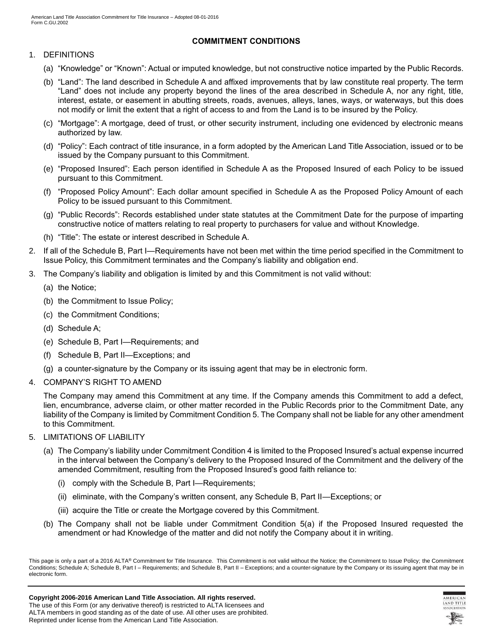# **COMMITMENT CONDITIONS**

## 1. DEFINITIONS

- (a) "Knowledge" or "Known": Actual or imputed knowledge, but not constructive notice imparted by the Public Records.
- (b) "Land": The land described in Schedule A and affixed improvements that by law constitute real property. The term "Land" does not include any property beyond the lines of the area described in Schedule A, nor any right, title, interest, estate, or easement in abutting streets, roads, avenues, alleys, lanes, ways, or waterways, but this does not modify or limit the extent that a right of access to and from the Land is to be insured by the Policy.
- (c) "Mortgage": A mortgage, deed of trust, or other security instrument, including one evidenced by electronic means authorized by law.
- (d) "Policy": Each contract of title insurance, in a form adopted by the American Land Title Association, issued or to be issued by the Company pursuant to this Commitment.
- (e) "Proposed Insured": Each person identified in Schedule A as the Proposed Insured of each Policy to be issued pursuant to this Commitment.
- (f) "Proposed Policy Amount": Each dollar amount specified in Schedule A as the Proposed Policy Amount of each Policy to be issued pursuant to this Commitment.
- (g) "Public Records": Records established under state statutes at the Commitment Date for the purpose of imparting constructive notice of matters relating to real property to purchasers for value and without Knowledge.
- (h) "Title": The estate or interest described in Schedule A.
- 2. If all of the Schedule B, Part I—Requirements have not been met within the time period specified in the Commitment to Issue Policy, this Commitment terminates and the Company's liability and obligation end.
- 3. The Company's liability and obligation is limited by and this Commitment is not valid without:
	- (a) the Notice;
	- (b) the Commitment to Issue Policy;
	- (c) the Commitment Conditions;
	- (d) Schedule A;
	- (e) Schedule B, Part I—Requirements; and
	- (f) Schedule B, Part II—Exceptions; and
	- (g) a counter-signature by the Company or its issuing agent that may be in electronic form.
- 4. COMPANY'S RIGHT TO AMEND

The Company may amend this Commitment at any time. If the Company amends this Commitment to add a defect, lien, encumbrance, adverse claim, or other matter recorded in the Public Records prior to the Commitment Date, any liability of the Company is limited by Commitment Condition 5. The Company shall not be liable for any other amendment to this Commitment.

- 5. LIMITATIONS OF LIABILITY
	- (a) The Company's liability under Commitment Condition 4 is limited to the Proposed Insured's actual expense incurred in the interval between the Company's delivery to the Proposed Insured of the Commitment and the delivery of the amended Commitment, resulting from the Proposed Insured's good faith reliance to:
		- (i) comply with the Schedule B, Part I—Requirements;
		- (ii) eliminate, with the Company's written consent, any Schedule B, Part II—Exceptions; or
		- (iii) acquire the Title or create the Mortgage covered by this Commitment.
	- (b) The Company shall not be liable under Commitment Condition 5(a) if the Proposed Insured requested the amendment or had Knowledge of the matter and did not notify the Company about it in writing.



This page is only a part of a 2016 ALTA® Commitment for Title Insurance. This Commitment is not valid without the Notice; the Commitment to Issue Policy; the Commitment Conditions; Schedule A; Schedule B, Part I – Requirements; and Schedule B, Part II – Exceptions; and a counter-signature by the Company or its issuing agent that may be in electronic form.